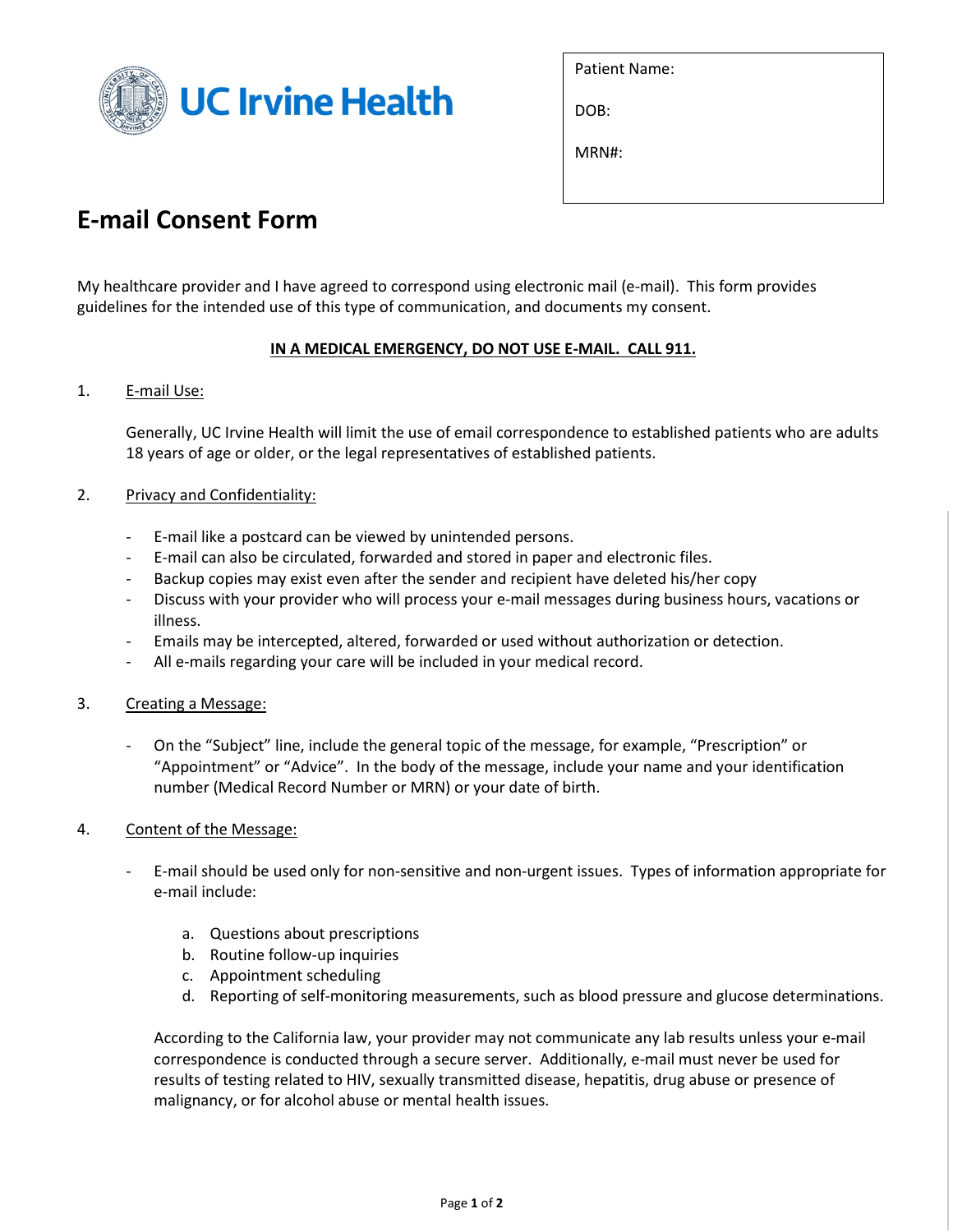

Patient Name:

DOB:

MRN#:

# **E-mail Consent Form**

My healthcare provider and I have agreed to correspond using electronic mail (e-mail). This form provides guidelines for the intended use of this type of communication, and documents my consent.

## **IN A MEDICAL EMERGENCY, DO NOT USE E-MAIL. CALL 911.**

### 1. E-mail Use:

Generally, UC Irvine Health will limit the use of email correspondence to established patients who are adults 18 years of age or older, or the legal representatives of established patients.

## 2. Privacy and Confidentiality:

- E-mail like a postcard can be viewed by unintended persons.
- E-mail can also be circulated, forwarded and stored in paper and electronic files.
- Backup copies may exist even after the sender and recipient have deleted his/her copy
- Discuss with your provider who will process your e-mail messages during business hours, vacations or illness.
- Emails may be intercepted, altered, forwarded or used without authorization or detection.
- All e-mails regarding your care will be included in your medical record.

### 3. Creating a Message:

- On the "Subject" line, include the general topic of the message, for example, "Prescription" or "Appointment" or "Advice". In the body of the message, include your name and your identification number (Medical Record Number or MRN) or your date of birth.
- 4. Content of the Message:
	- E-mail should be used only for non-sensitive and non-urgent issues. Types of information appropriate for e-mail include:
		- a. Questions about prescriptions
		- b. Routine follow-up inquiries
		- c. Appointment scheduling
		- d. Reporting of self-monitoring measurements, such as blood pressure and glucose determinations.

According to the California law, your provider may not communicate any lab results unless your e-mail correspondence is conducted through a secure server. Additionally, e-mail must never be used for results of testing related to HIV, sexually transmitted disease, hepatitis, drug abuse or presence of malignancy, or for alcohol abuse or mental health issues.